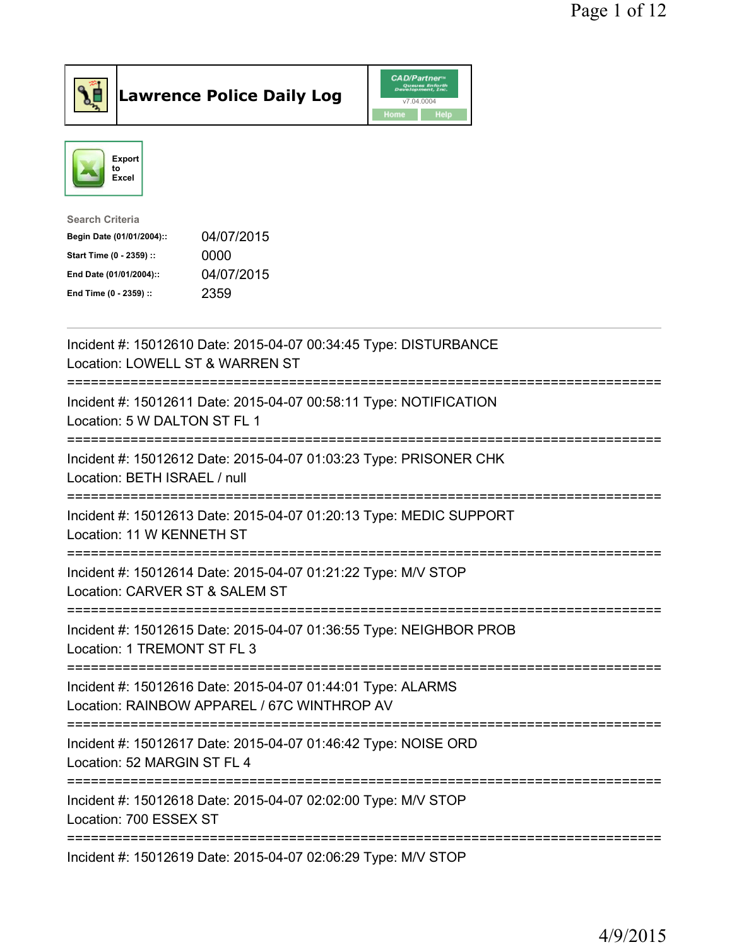

**Lawrence Police Daily Log** 



| <b>Search Criteria</b>    |            |
|---------------------------|------------|
| Begin Date (01/01/2004):: | 04/07/2015 |
| Start Time (0 - 2359) ::  | 0000       |
| End Date (01/01/2004)::   | 04/07/2015 |
| End Time (0 - 2359) ::    | 2359       |
|                           |            |

| Incident #: 15012610 Date: 2015-04-07 00:34:45 Type: DISTURBANCE<br>Location: LOWELL ST & WARREN ST               |
|-------------------------------------------------------------------------------------------------------------------|
| Incident #: 15012611 Date: 2015-04-07 00:58:11 Type: NOTIFICATION<br>Location: 5 W DALTON ST FL 1                 |
| Incident #: 15012612 Date: 2015-04-07 01:03:23 Type: PRISONER CHK<br>Location: BETH ISRAEL / null                 |
| Incident #: 15012613 Date: 2015-04-07 01:20:13 Type: MEDIC SUPPORT<br>Location: 11 W KENNETH ST<br>============== |
| Incident #: 15012614 Date: 2015-04-07 01:21:22 Type: M/V STOP<br>Location: CARVER ST & SALEM ST<br>----------     |
| Incident #: 15012615 Date: 2015-04-07 01:36:55 Type: NEIGHBOR PROB<br>Location: 1 TREMONT ST FL 3                 |
| Incident #: 15012616 Date: 2015-04-07 01:44:01 Type: ALARMS<br>Location: RAINBOW APPAREL / 67C WINTHROP AV        |
| Incident #: 15012617 Date: 2015-04-07 01:46:42 Type: NOISE ORD<br>Location: 52 MARGIN ST FL 4                     |
| Incident #: 15012618 Date: 2015-04-07 02:02:00 Type: M/V STOP<br>Location: 700 ESSEX ST                           |
| Incident #: 15012619 Date: 2015-04-07 02:06:29 Type: M/V STOP                                                     |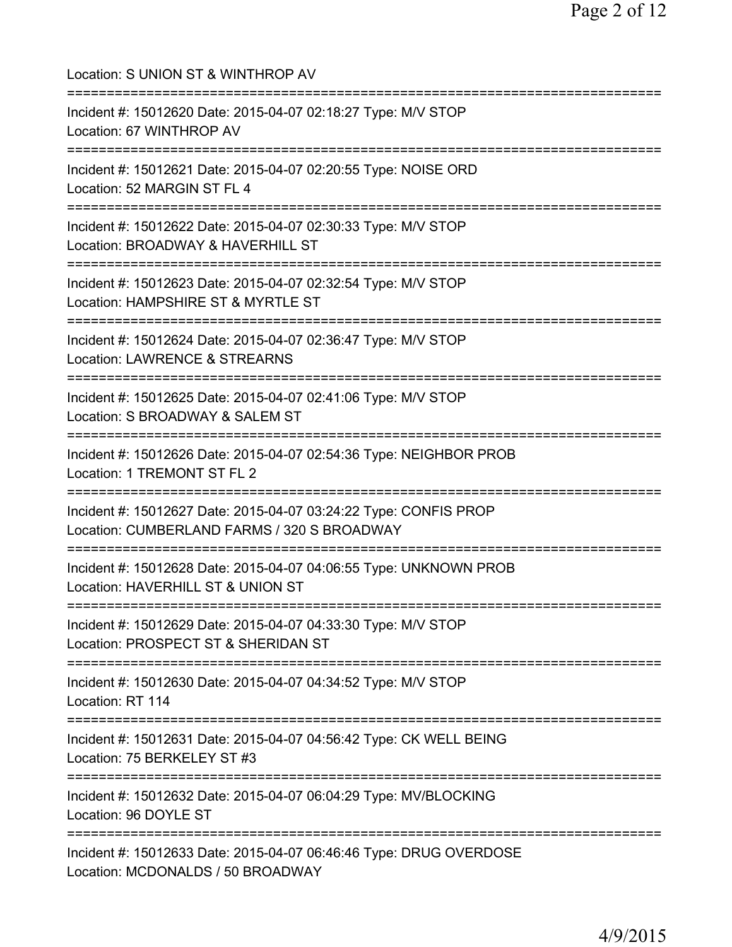| Location: S UNION ST & WINTHROP AV                                                                                                       |
|------------------------------------------------------------------------------------------------------------------------------------------|
| Incident #: 15012620 Date: 2015-04-07 02:18:27 Type: M/V STOP<br>Location: 67 WINTHROP AV<br>======================================      |
| Incident #: 15012621 Date: 2015-04-07 02:20:55 Type: NOISE ORD<br>Location: 52 MARGIN ST FL 4                                            |
| Incident #: 15012622 Date: 2015-04-07 02:30:33 Type: M/V STOP<br>Location: BROADWAY & HAVERHILL ST<br>===========================        |
| Incident #: 15012623 Date: 2015-04-07 02:32:54 Type: M/V STOP<br>Location: HAMPSHIRE ST & MYRTLE ST<br>================================= |
| Incident #: 15012624 Date: 2015-04-07 02:36:47 Type: M/V STOP<br>Location: LAWRENCE & STREARNS<br>============================           |
| Incident #: 15012625 Date: 2015-04-07 02:41:06 Type: M/V STOP<br>Location: S BROADWAY & SALEM ST<br>===========================          |
| Incident #: 15012626 Date: 2015-04-07 02:54:36 Type: NEIGHBOR PROB<br>Location: 1 TREMONT ST FL 2                                        |
| Incident #: 15012627 Date: 2015-04-07 03:24:22 Type: CONFIS PROP<br>Location: CUMBERLAND FARMS / 320 S BROADWAY                          |
| Incident #: 15012628 Date: 2015-04-07 04:06:55 Type: UNKNOWN PROB<br>Location: HAVERHILL ST & UNION ST                                   |
| Incident #: 15012629 Date: 2015-04-07 04:33:30 Type: M/V STOP<br>Location: PROSPECT ST & SHERIDAN ST                                     |
| Incident #: 15012630 Date: 2015-04-07 04:34:52 Type: M/V STOP<br>Location: RT 114                                                        |
| ========================<br>Incident #: 15012631 Date: 2015-04-07 04:56:42 Type: CK WELL BEING<br>Location: 75 BERKELEY ST #3            |
| Incident #: 15012632 Date: 2015-04-07 06:04:29 Type: MV/BLOCKING<br>Location: 96 DOYLE ST                                                |
| Incident #: 15012633 Date: 2015-04-07 06:46:46 Type: DRUG OVERDOSE<br>Location: MCDONALDS / 50 BROADWAY                                  |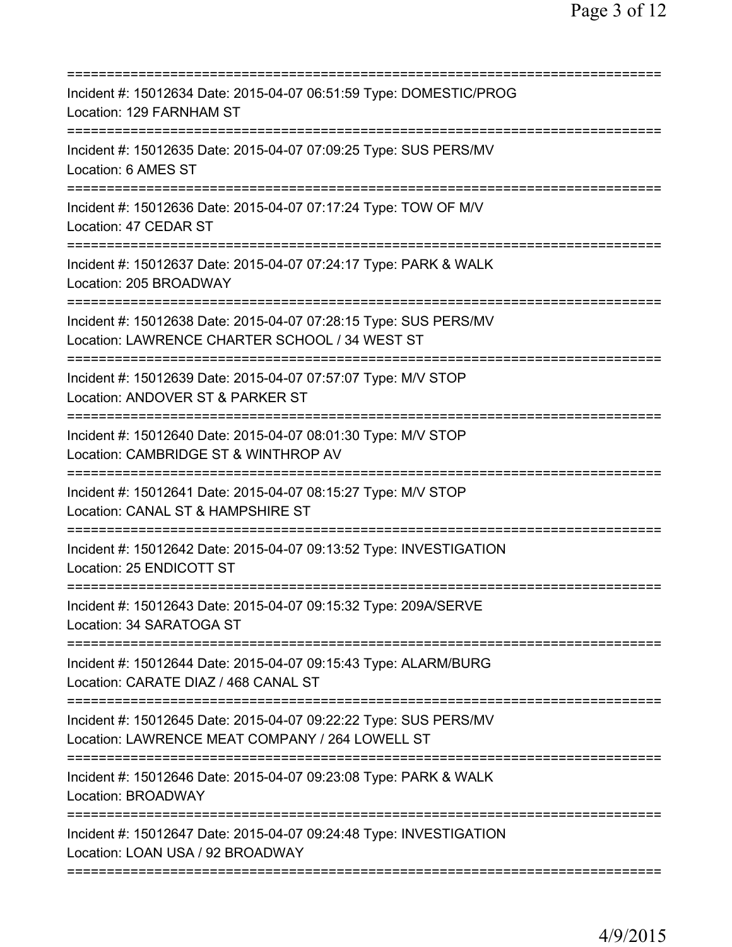| Incident #: 15012634 Date: 2015-04-07 06:51:59 Type: DOMESTIC/PROG<br>Location: 129 FARNHAM ST                                                               |
|--------------------------------------------------------------------------------------------------------------------------------------------------------------|
| Incident #: 15012635 Date: 2015-04-07 07:09:25 Type: SUS PERS/MV<br>Location: 6 AMES ST                                                                      |
| Incident #: 15012636 Date: 2015-04-07 07:17:24 Type: TOW OF M/V<br>Location: 47 CEDAR ST                                                                     |
| Incident #: 15012637 Date: 2015-04-07 07:24:17 Type: PARK & WALK<br>Location: 205 BROADWAY                                                                   |
| Incident #: 15012638 Date: 2015-04-07 07:28:15 Type: SUS PERS/MV<br>Location: LAWRENCE CHARTER SCHOOL / 34 WEST ST<br>;===================================== |
| Incident #: 15012639 Date: 2015-04-07 07:57:07 Type: M/V STOP<br>Location: ANDOVER ST & PARKER ST                                                            |
| Incident #: 15012640 Date: 2015-04-07 08:01:30 Type: M/V STOP<br>Location: CAMBRIDGE ST & WINTHROP AV                                                        |
| Incident #: 15012641 Date: 2015-04-07 08:15:27 Type: M/V STOP<br>Location: CANAL ST & HAMPSHIRE ST                                                           |
| Incident #: 15012642 Date: 2015-04-07 09:13:52 Type: INVESTIGATION<br>Location: 25 ENDICOTT ST                                                               |
| Incident #: 15012643 Date: 2015-04-07 09:15:32 Type: 209A/SERVE<br>Location: 34 SARATOGA ST                                                                  |
| Incident #: 15012644 Date: 2015-04-07 09:15:43 Type: ALARM/BURG<br>Location: CARATE DIAZ / 468 CANAL ST                                                      |
| Incident #: 15012645 Date: 2015-04-07 09:22:22 Type: SUS PERS/MV<br>Location: LAWRENCE MEAT COMPANY / 264 LOWELL ST                                          |
| Incident #: 15012646 Date: 2015-04-07 09:23:08 Type: PARK & WALK<br><b>Location: BROADWAY</b>                                                                |
| Incident #: 15012647 Date: 2015-04-07 09:24:48 Type: INVESTIGATION<br>Location: LOAN USA / 92 BROADWAY                                                       |
|                                                                                                                                                              |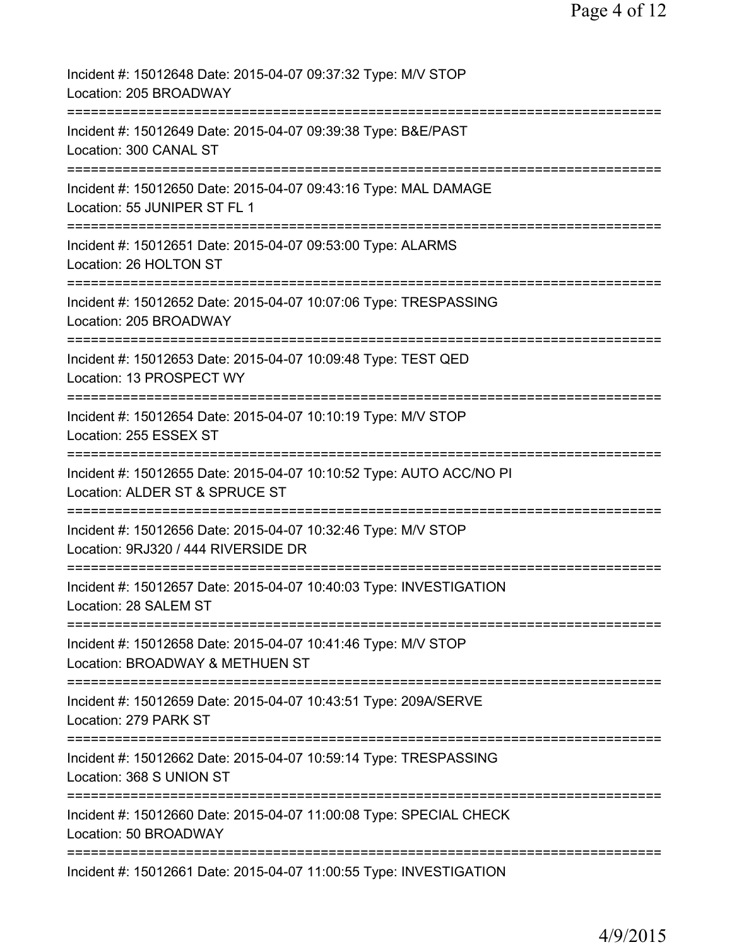| Incident #: 15012648 Date: 2015-04-07 09:37:32 Type: M/V STOP<br>Location: 205 BROADWAY                               |
|-----------------------------------------------------------------------------------------------------------------------|
| Incident #: 15012649 Date: 2015-04-07 09:39:38 Type: B&E/PAST<br>Location: 300 CANAL ST                               |
| Incident #: 15012650 Date: 2015-04-07 09:43:16 Type: MAL DAMAGE<br>Location: 55 JUNIPER ST FL 1                       |
| Incident #: 15012651 Date: 2015-04-07 09:53:00 Type: ALARMS<br>Location: 26 HOLTON ST                                 |
| Incident #: 15012652 Date: 2015-04-07 10:07:06 Type: TRESPASSING<br>Location: 205 BROADWAY                            |
| Incident #: 15012653 Date: 2015-04-07 10:09:48 Type: TEST QED<br>Location: 13 PROSPECT WY                             |
| Incident #: 15012654 Date: 2015-04-07 10:10:19 Type: M/V STOP<br>Location: 255 ESSEX ST                               |
| ------------<br>Incident #: 15012655 Date: 2015-04-07 10:10:52 Type: AUTO ACC/NO PI<br>Location: ALDER ST & SPRUCE ST |
| Incident #: 15012656 Date: 2015-04-07 10:32:46 Type: M/V STOP<br>Location: 9RJ320 / 444 RIVERSIDE DR                  |
| Incident #: 15012657 Date: 2015-04-07 10:40:03 Type: INVESTIGATION<br>Location: 28 SALEM ST                           |
| Incident #: 15012658 Date: 2015-04-07 10:41:46 Type: M/V STOP<br>Location: BROADWAY & METHUEN ST                      |
| Incident #: 15012659 Date: 2015-04-07 10:43:51 Type: 209A/SERVE<br>Location: 279 PARK ST                              |
| Incident #: 15012662 Date: 2015-04-07 10:59:14 Type: TRESPASSING<br>Location: 368 S UNION ST                          |
| Incident #: 15012660 Date: 2015-04-07 11:00:08 Type: SPECIAL CHECK<br>Location: 50 BROADWAY                           |
| Incident #: 15012661 Date: 2015-04-07 11:00:55 Type: INVESTIGATION                                                    |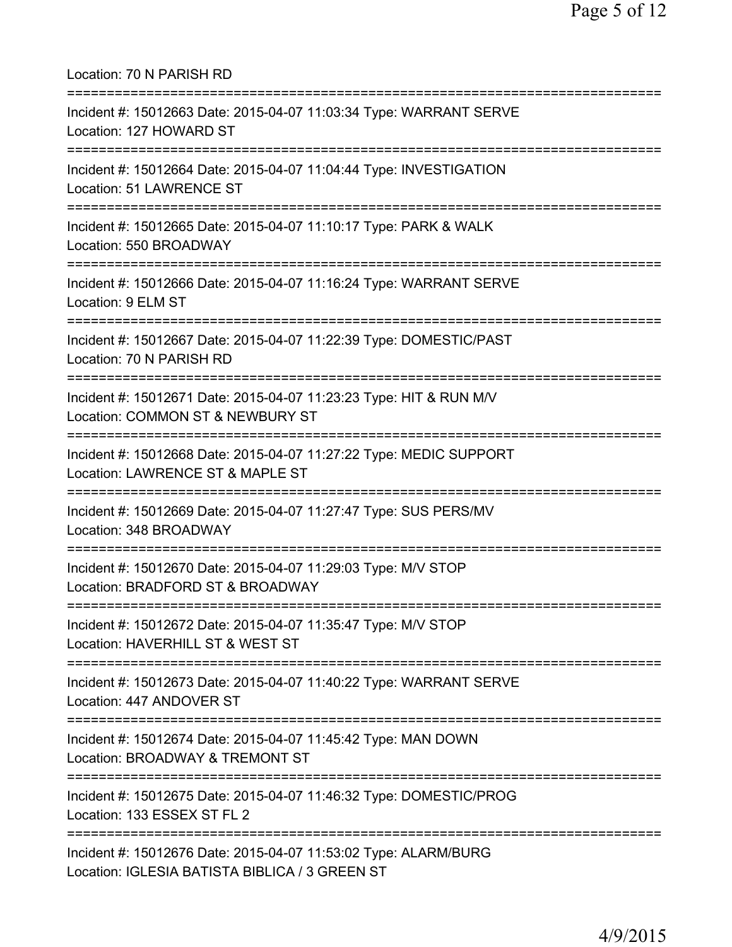| Location: 70 N PARISH RD                                                                                                      |
|-------------------------------------------------------------------------------------------------------------------------------|
| Incident #: 15012663 Date: 2015-04-07 11:03:34 Type: WARRANT SERVE<br>Location: 127 HOWARD ST<br>============================ |
| Incident #: 15012664 Date: 2015-04-07 11:04:44 Type: INVESTIGATION<br>Location: 51 LAWRENCE ST                                |
| Incident #: 15012665 Date: 2015-04-07 11:10:17 Type: PARK & WALK<br>Location: 550 BROADWAY                                    |
| Incident #: 15012666 Date: 2015-04-07 11:16:24 Type: WARRANT SERVE<br>Location: 9 ELM ST                                      |
| Incident #: 15012667 Date: 2015-04-07 11:22:39 Type: DOMESTIC/PAST<br>Location: 70 N PARISH RD                                |
| Incident #: 15012671 Date: 2015-04-07 11:23:23 Type: HIT & RUN M/V<br>Location: COMMON ST & NEWBURY ST                        |
| Incident #: 15012668 Date: 2015-04-07 11:27:22 Type: MEDIC SUPPORT<br>Location: LAWRENCE ST & MAPLE ST                        |
| Incident #: 15012669 Date: 2015-04-07 11:27:47 Type: SUS PERS/MV<br>Location: 348 BROADWAY                                    |
| Incident #: 15012670 Date: 2015-04-07 11:29:03 Type: M/V STOP<br>Location: BRADFORD ST & BROADWAY                             |
| Incident #: 15012672 Date: 2015-04-07 11:35:47 Type: M/V STOP<br>Location: HAVERHILL ST & WEST ST                             |
| Incident #: 15012673 Date: 2015-04-07 11:40:22 Type: WARRANT SERVE<br>Location: 447 ANDOVER ST                                |
| Incident #: 15012674 Date: 2015-04-07 11:45:42 Type: MAN DOWN<br>Location: BROADWAY & TREMONT ST                              |
| Incident #: 15012675 Date: 2015-04-07 11:46:32 Type: DOMESTIC/PROG<br>Location: 133 ESSEX ST FL 2                             |
| Incident #: 15012676 Date: 2015-04-07 11:53:02 Type: ALARM/BURG<br>Location: IGLESIA BATISTA BIBLICA / 3 GREEN ST             |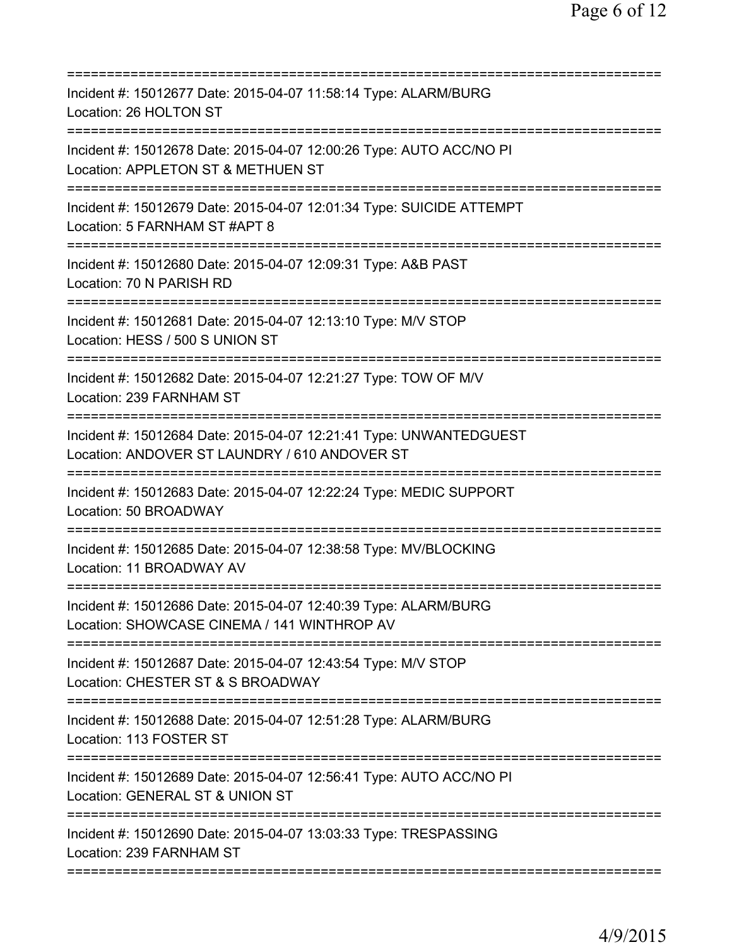| Incident #: 15012677 Date: 2015-04-07 11:58:14 Type: ALARM/BURG<br>Location: 26 HOLTON ST                                       |
|---------------------------------------------------------------------------------------------------------------------------------|
| Incident #: 15012678 Date: 2015-04-07 12:00:26 Type: AUTO ACC/NO PI<br>Location: APPLETON ST & METHUEN ST                       |
| Incident #: 15012679 Date: 2015-04-07 12:01:34 Type: SUICIDE ATTEMPT<br>Location: 5 FARNHAM ST #APT 8<br>====================== |
| Incident #: 15012680 Date: 2015-04-07 12:09:31 Type: A&B PAST<br>Location: 70 N PARISH RD                                       |
| Incident #: 15012681 Date: 2015-04-07 12:13:10 Type: M/V STOP<br>Location: HESS / 500 S UNION ST                                |
| Incident #: 15012682 Date: 2015-04-07 12:21:27 Type: TOW OF M/V<br>Location: 239 FARNHAM ST<br>-------------                    |
| Incident #: 15012684 Date: 2015-04-07 12:21:41 Type: UNWANTEDGUEST<br>Location: ANDOVER ST LAUNDRY / 610 ANDOVER ST             |
| Incident #: 15012683 Date: 2015-04-07 12:22:24 Type: MEDIC SUPPORT<br>Location: 50 BROADWAY                                     |
| Incident #: 15012685 Date: 2015-04-07 12:38:58 Type: MV/BLOCKING<br>Location: 11 BROADWAY AV                                    |
| Incident #: 15012686 Date: 2015-04-07 12:40:39 Type: ALARM/BURG<br>Location: SHOWCASE CINEMA / 141 WINTHROP AV                  |
| Incident #: 15012687 Date: 2015-04-07 12:43:54 Type: M/V STOP<br>Location: CHESTER ST & S BROADWAY                              |
| Incident #: 15012688 Date: 2015-04-07 12:51:28 Type: ALARM/BURG<br>Location: 113 FOSTER ST                                      |
| Incident #: 15012689 Date: 2015-04-07 12:56:41 Type: AUTO ACC/NO PI<br>Location: GENERAL ST & UNION ST                          |
| Incident #: 15012690 Date: 2015-04-07 13:03:33 Type: TRESPASSING<br>Location: 239 FARNHAM ST                                    |
|                                                                                                                                 |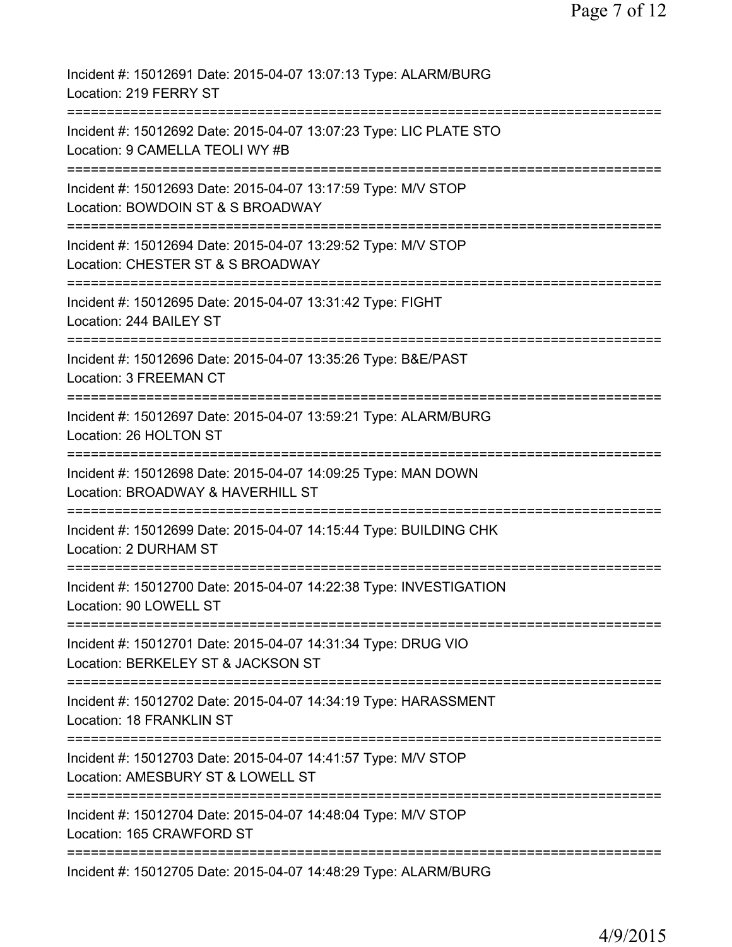| Incident #: 15012691 Date: 2015-04-07 13:07:13 Type: ALARM/BURG<br>Location: 219 FERRY ST                                        |
|----------------------------------------------------------------------------------------------------------------------------------|
| Incident #: 15012692 Date: 2015-04-07 13:07:23 Type: LIC PLATE STO<br>Location: 9 CAMELLA TEOLI WY #B                            |
| Incident #: 15012693 Date: 2015-04-07 13:17:59 Type: M/V STOP<br>Location: BOWDOIN ST & S BROADWAY                               |
| Incident #: 15012694 Date: 2015-04-07 13:29:52 Type: M/V STOP<br>Location: CHESTER ST & S BROADWAY                               |
| Incident #: 15012695 Date: 2015-04-07 13:31:42 Type: FIGHT<br>Location: 244 BAILEY ST                                            |
| Incident #: 15012696 Date: 2015-04-07 13:35:26 Type: B&E/PAST<br>Location: 3 FREEMAN CT                                          |
| Incident #: 15012697 Date: 2015-04-07 13:59:21 Type: ALARM/BURG<br>Location: 26 HOLTON ST<br>:================================== |
| Incident #: 15012698 Date: 2015-04-07 14:09:25 Type: MAN DOWN<br>Location: BROADWAY & HAVERHILL ST                               |
| Incident #: 15012699 Date: 2015-04-07 14:15:44 Type: BUILDING CHK<br>Location: 2 DURHAM ST                                       |
| Incident #: 15012700 Date: 2015-04-07 14:22:38 Type: INVESTIGATION<br>Location: 90 LOWELL ST                                     |
| =========================<br>Incident #: 15012701 Date: 2015-04-07 14:31:34 Type: DRUG VIO<br>Location: BERKELEY ST & JACKSON ST |
| Incident #: 15012702 Date: 2015-04-07 14:34:19 Type: HARASSMENT<br>Location: 18 FRANKLIN ST                                      |
| Incident #: 15012703 Date: 2015-04-07 14:41:57 Type: M/V STOP<br>Location: AMESBURY ST & LOWELL ST                               |
| Incident #: 15012704 Date: 2015-04-07 14:48:04 Type: M/V STOP<br>Location: 165 CRAWFORD ST                                       |
| Incident #: 15012705 Date: 2015-04-07 14:48:29 Type: ALARM/BURG                                                                  |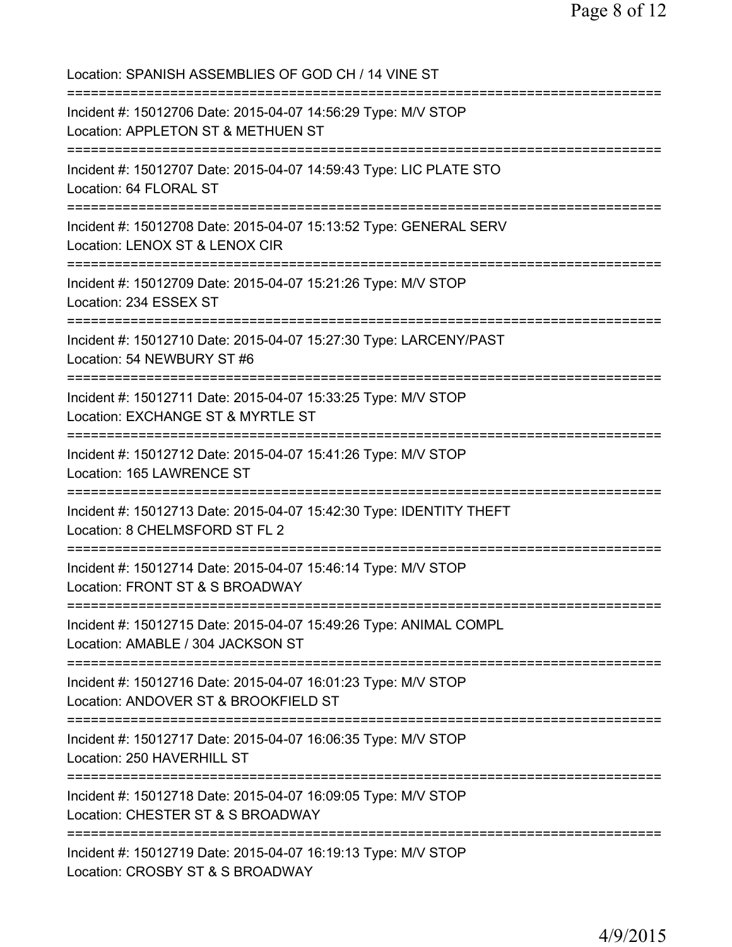| Location: SPANISH ASSEMBLIES OF GOD CH / 14 VINE ST                                                                                          |
|----------------------------------------------------------------------------------------------------------------------------------------------|
| Incident #: 15012706 Date: 2015-04-07 14:56:29 Type: M/V STOP<br>Location: APPLETON ST & METHUEN ST<br>===================================== |
| Incident #: 15012707 Date: 2015-04-07 14:59:43 Type: LIC PLATE STO<br>Location: 64 FLORAL ST<br>================================             |
| Incident #: 15012708 Date: 2015-04-07 15:13:52 Type: GENERAL SERV<br>Location: LENOX ST & LENOX CIR                                          |
| Incident #: 15012709 Date: 2015-04-07 15:21:26 Type: M/V STOP<br>Location: 234 ESSEX ST                                                      |
| Incident #: 15012710 Date: 2015-04-07 15:27:30 Type: LARCENY/PAST<br>Location: 54 NEWBURY ST #6<br>:==============================           |
| Incident #: 15012711 Date: 2015-04-07 15:33:25 Type: M/V STOP<br>Location: EXCHANGE ST & MYRTLE ST<br>==============================         |
| Incident #: 15012712 Date: 2015-04-07 15:41:26 Type: M/V STOP<br>Location: 165 LAWRENCE ST                                                   |
| Incident #: 15012713 Date: 2015-04-07 15:42:30 Type: IDENTITY THEFT<br>Location: 8 CHELMSFORD ST FL 2                                        |
| Incident #: 15012714 Date: 2015-04-07 15:46:14 Type: M/V STOP<br>Location: FRONT ST & S BROADWAY                                             |
| ================================<br>Incident #: 15012715 Date: 2015-04-07 15:49:26 Type: ANIMAL COMPL<br>Location: AMABLE / 304 JACKSON ST   |
| Incident #: 15012716 Date: 2015-04-07 16:01:23 Type: M/V STOP<br>Location: ANDOVER ST & BROOKFIELD ST                                        |
| :=====================<br>Incident #: 15012717 Date: 2015-04-07 16:06:35 Type: M/V STOP<br>Location: 250 HAVERHILL ST                        |
| Incident #: 15012718 Date: 2015-04-07 16:09:05 Type: M/V STOP<br>Location: CHESTER ST & S BROADWAY                                           |
| Incident #: 15012719 Date: 2015-04-07 16:19:13 Type: M/V STOP<br>Location: CROSBY ST & S BROADWAY                                            |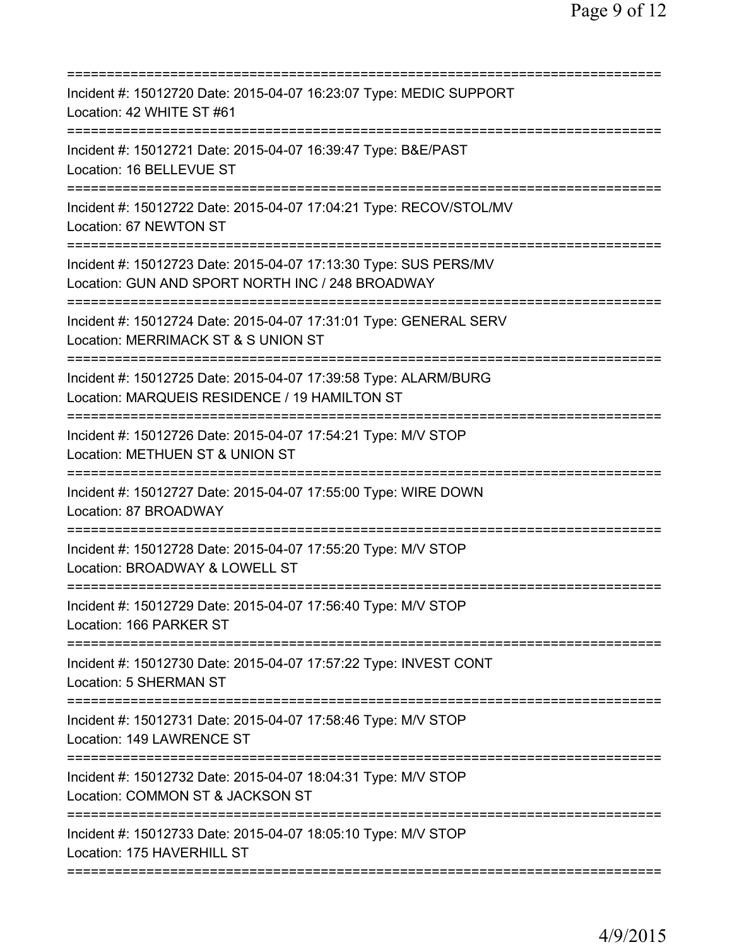| Incident #: 15012720 Date: 2015-04-07 16:23:07 Type: MEDIC SUPPORT<br>Location: 42 WHITE ST #61                                                                |
|----------------------------------------------------------------------------------------------------------------------------------------------------------------|
| Incident #: 15012721 Date: 2015-04-07 16:39:47 Type: B&E/PAST<br>Location: 16 BELLEVUE ST                                                                      |
| Incident #: 15012722 Date: 2015-04-07 17:04:21 Type: RECOV/STOL/MV<br>Location: 67 NEWTON ST                                                                   |
| Incident #: 15012723 Date: 2015-04-07 17:13:30 Type: SUS PERS/MV<br>Location: GUN AND SPORT NORTH INC / 248 BROADWAY<br>====================================== |
| Incident #: 15012724 Date: 2015-04-07 17:31:01 Type: GENERAL SERV<br>Location: MERRIMACK ST & S UNION ST                                                       |
| Incident #: 15012725 Date: 2015-04-07 17:39:58 Type: ALARM/BURG<br>Location: MARQUEIS RESIDENCE / 19 HAMILTON ST                                               |
| Incident #: 15012726 Date: 2015-04-07 17:54:21 Type: M/V STOP<br>Location: METHUEN ST & UNION ST<br>=====================<br>--------                          |
| Incident #: 15012727 Date: 2015-04-07 17:55:00 Type: WIRE DOWN<br>Location: 87 BROADWAY                                                                        |
| Incident #: 15012728 Date: 2015-04-07 17:55:20 Type: M/V STOP<br>Location: BROADWAY & LOWELL ST                                                                |
| Incident #: 15012729 Date: 2015-04-07 17:56:40 Type: M/V STOP<br>Location: 166 PARKER ST                                                                       |
| Incident #: 15012730 Date: 2015-04-07 17:57:22 Type: INVEST CONT<br>Location: 5 SHERMAN ST                                                                     |
| Incident #: 15012731 Date: 2015-04-07 17:58:46 Type: M/V STOP<br>Location: 149 LAWRENCE ST                                                                     |
| Incident #: 15012732 Date: 2015-04-07 18:04:31 Type: M/V STOP<br>Location: COMMON ST & JACKSON ST                                                              |
| Incident #: 15012733 Date: 2015-04-07 18:05:10 Type: M/V STOP<br>Location: 175 HAVERHILL ST                                                                    |
|                                                                                                                                                                |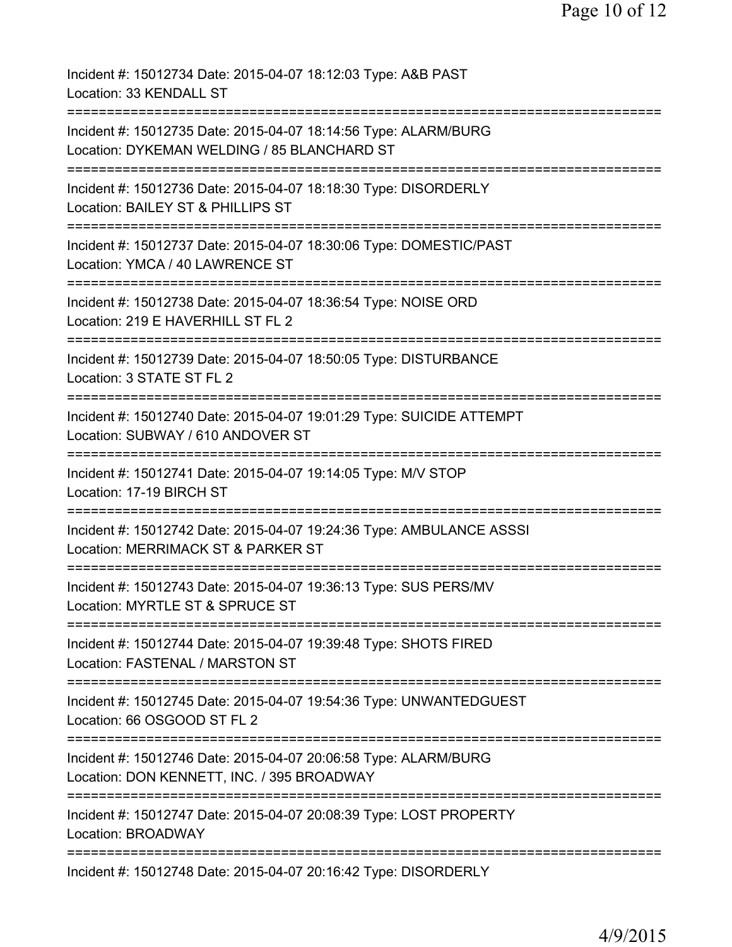| Incident #: 15012734 Date: 2015-04-07 18:12:03 Type: A&B PAST<br>Location: 33 KENDALL ST<br>==================                             |
|--------------------------------------------------------------------------------------------------------------------------------------------|
| Incident #: 15012735 Date: 2015-04-07 18:14:56 Type: ALARM/BURG<br>Location: DYKEMAN WELDING / 85 BLANCHARD ST                             |
| ==================================<br>Incident #: 15012736 Date: 2015-04-07 18:18:30 Type: DISORDERLY<br>Location: BAILEY ST & PHILLIPS ST |
| Incident #: 15012737 Date: 2015-04-07 18:30:06 Type: DOMESTIC/PAST<br>Location: YMCA / 40 LAWRENCE ST                                      |
| Incident #: 15012738 Date: 2015-04-07 18:36:54 Type: NOISE ORD<br>Location: 219 E HAVERHILL ST FL 2                                        |
| =======================<br>Incident #: 15012739 Date: 2015-04-07 18:50:05 Type: DISTURBANCE<br>Location: 3 STATE ST FL 2                   |
| Incident #: 15012740 Date: 2015-04-07 19:01:29 Type: SUICIDE ATTEMPT<br>Location: SUBWAY / 610 ANDOVER ST                                  |
| ==========================<br>Incident #: 15012741 Date: 2015-04-07 19:14:05 Type: M/V STOP<br>Location: 17-19 BIRCH ST                    |
| Incident #: 15012742 Date: 2015-04-07 19:24:36 Type: AMBULANCE ASSSI<br>Location: MERRIMACK ST & PARKER ST                                 |
| ===============================<br>Incident #: 15012743 Date: 2015-04-07 19:36:13 Type: SUS PERS/MV<br>Location: MYRTLE ST & SPRUCE ST     |
| Incident #: 15012744 Date: 2015-04-07 19:39:48 Type: SHOTS FIRED<br>Location: FASTENAL / MARSTON ST                                        |
| Incident #: 15012745 Date: 2015-04-07 19:54:36 Type: UNWANTEDGUEST<br>Location: 66 OSGOOD ST FL 2                                          |
| Incident #: 15012746 Date: 2015-04-07 20:06:58 Type: ALARM/BURG<br>Location: DON KENNETT, INC. / 395 BROADWAY                              |
| Incident #: 15012747 Date: 2015-04-07 20:08:39 Type: LOST PROPERTY<br><b>Location: BROADWAY</b>                                            |
| Incident #: 15012748 Date: 2015-04-07 20:16:42 Type: DISORDERLY                                                                            |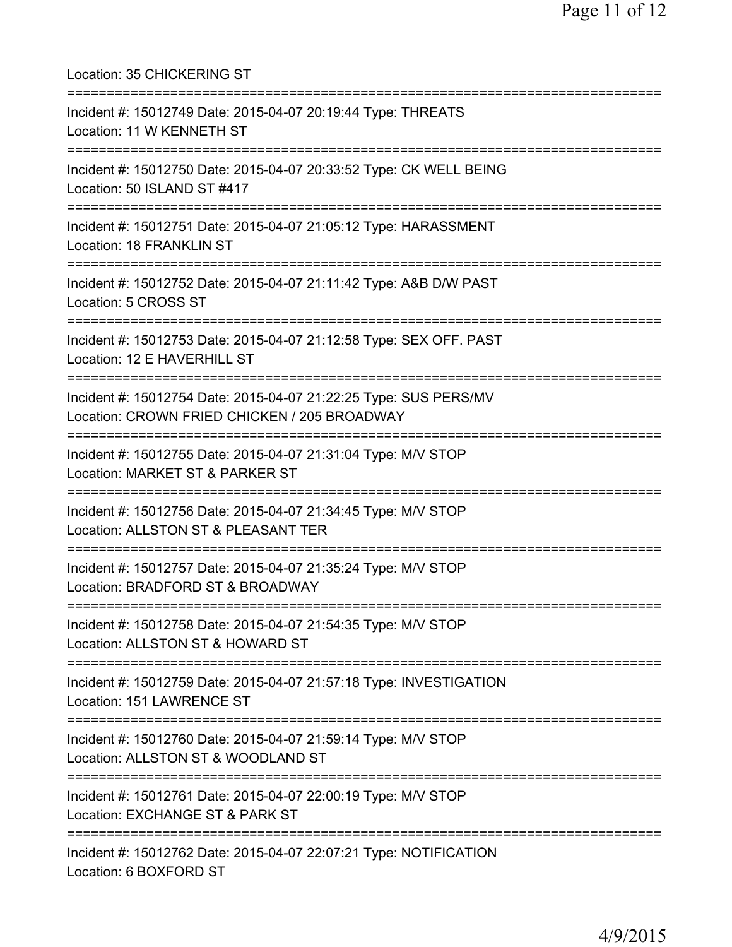| Location: 35 CHICKERING ST                                                                                                          |
|-------------------------------------------------------------------------------------------------------------------------------------|
| Incident #: 15012749 Date: 2015-04-07 20:19:44 Type: THREATS<br>Location: 11 W KENNETH ST                                           |
| Incident #: 15012750 Date: 2015-04-07 20:33:52 Type: CK WELL BEING<br>Location: 50 ISLAND ST #417<br>============================== |
| Incident #: 15012751 Date: 2015-04-07 21:05:12 Type: HARASSMENT<br>Location: 18 FRANKLIN ST<br>------------------------------       |
| Incident #: 15012752 Date: 2015-04-07 21:11:42 Type: A&B D/W PAST<br>Location: 5 CROSS ST                                           |
| Incident #: 15012753 Date: 2015-04-07 21:12:58 Type: SEX OFF. PAST<br>Location: 12 E HAVERHILL ST                                   |
| Incident #: 15012754 Date: 2015-04-07 21:22:25 Type: SUS PERS/MV<br>Location: CROWN FRIED CHICKEN / 205 BROADWAY                    |
| Incident #: 15012755 Date: 2015-04-07 21:31:04 Type: M/V STOP<br>Location: MARKET ST & PARKER ST                                    |
| Incident #: 15012756 Date: 2015-04-07 21:34:45 Type: M/V STOP<br>Location: ALLSTON ST & PLEASANT TER                                |
| Incident #: 15012757 Date: 2015-04-07 21:35:24 Type: M/V STOP<br>Location: BRADFORD ST & BROADWAY                                   |
| Incident #: 15012758 Date: 2015-04-07 21:54:35 Type: M/V STOP<br>Location: ALLSTON ST & HOWARD ST                                   |
| Incident #: 15012759 Date: 2015-04-07 21:57:18 Type: INVESTIGATION<br>Location: 151 LAWRENCE ST                                     |
| Incident #: 15012760 Date: 2015-04-07 21:59:14 Type: M/V STOP<br>Location: ALLSTON ST & WOODLAND ST                                 |
| Incident #: 15012761 Date: 2015-04-07 22:00:19 Type: M/V STOP<br>Location: EXCHANGE ST & PARK ST                                    |
| Incident #: 15012762 Date: 2015-04-07 22:07:21 Type: NOTIFICATION<br>Location: 6 BOXFORD ST                                         |